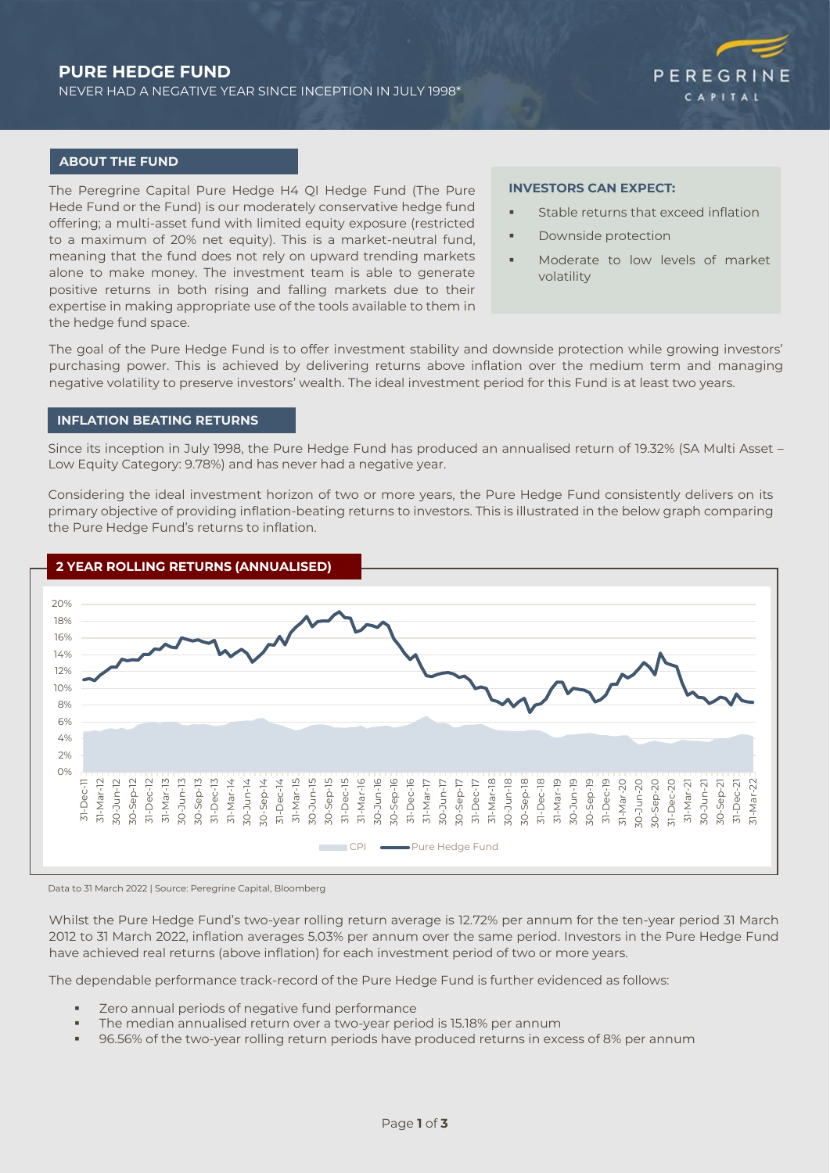# **PURE HEDGE FUND**

NEVER HAD A NEGATIVE YEAR SINCE INCEPTION IN JULY 1998\*



#### **ABOUT THE FUND**

The Peregrine Capital Pure Hedge H4 QI Hedge Fund (The Pure Hede Fund or the Fund) is our moderately conservative hedge fund offering; a multi-asset fund with limited equity exposure (restricted to a maximum of 20% net equity). This is a market-neutral fund, meaning that the fund does not rely on upward trending markets alone to make money. The investment team is able to generate positive returns in both rising and falling markets due to their expertise in making appropriate use of the tools available to them in the hedge fund space.

#### **INVESTORS CAN EXPECT:**

- Stable returns that exceed inflation
- Downside protection
- Moderate to low levels of market volatility

The goal of the Pure Hedge Fund is to offer investment stability and downside protection while growing investors' purchasing power. This is achieved by delivering returns above inflation over the medium term and managing negative volatility to preserve investors' wealth. The ideal investment period for this Fund is at least two years.

# **INFLATION BEATING RETURNS**

Since its inception in July 1998, the Pure Hedge Fund has produced an annualised return of 19.32% (SA Multi Asset – Low Equity Category: 9.78%) and has never had a negative year.

Considering the ideal investment horizon of two or more years, the Pure Hedge Fund consistently delivers on its primary objective of providing inflation-beating returns to investors. This is illustrated in the below graph comparing the Pure Hedge Fund's returns to inflation.



Data to 31 March 2022 | Source: Peregrine Capital, Bloomberg

Whilst the Pure Hedge Fund's two-year rolling return average is 12.72% per annum for the ten-year period 31 March 2012 to 31 March 2022, inflation averages 5.03% per annum over the same period. Investors in the Pure Hedge Fund have achieved real returns (above inflation) for each investment period of two or more years.

The dependable performance track-record of the Pure Hedge Fund is further evidenced as follows:

- Zero annual periods of negative fund performance
- The median annualised return over a two-year period is 15.18% per annum
- 96.56% of the two-year rolling return periods have produced returns in excess of 8% per annum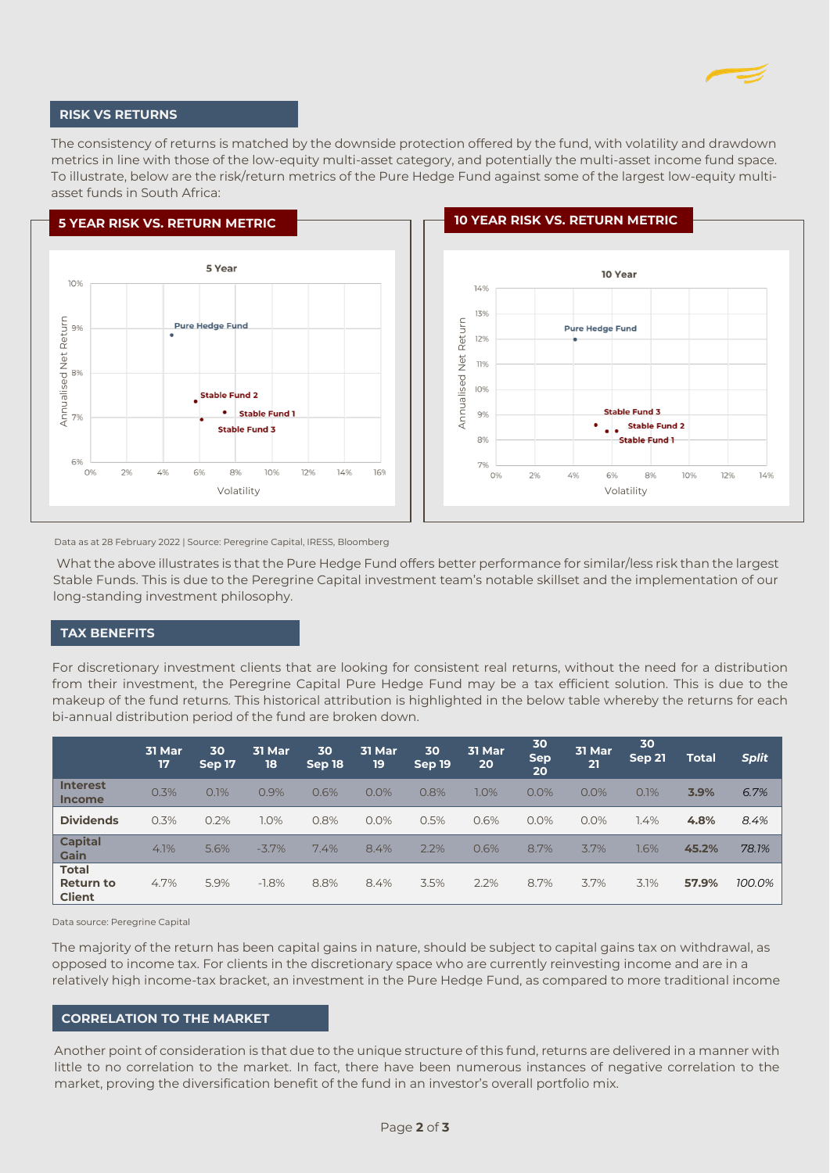

## **RISK VS RETURNS**

The consistency of returns is matched by the downside protection offered by the fund, with volatility and drawdown metrics in line with those of the low-equity multi-asset category, and potentially the multi-asset income fund space. To illustrate, below are the risk/return metrics of the Pure Hedge Fund against some of the largest low-equity multiasset funds in South Africa:





Data as at 28 February 2022 | Source: Peregrine Capital, IRESS, Bloomberg

What the above illustrates is that the Pure Hedge Fund offers better performance for similar/less risk than the largest Stable Funds. This is due to the Peregrine Capital investment team's notable skillset and the implementation of our long-standing investment philosophy.

### **TAX BENEFITS**

For discretionary investment clients that are looking for consistent real returns, without the need for a distribution from their investment, the Peregrine Capital Pure Hedge Fund may be a tax efficient solution. This is due to the makeup of the fund returns. This historical attribution is highlighted in the below table whereby the returns for each bi-annual distribution period of the fund are broken down.

|                                                   | 31 Mar<br>17 | 30<br>Sep 17 | 31 Mar<br>18 | 30<br>Sep 18 | 31 Mar<br>19 | 30<br>Sep 19 | 31 Mar<br>20 | 30<br><b>Sep</b><br>20 | <b>31 Mar</b><br>21 | 30<br><b>Sep 21</b> | <b>Total</b> | <b>Split</b> |
|---------------------------------------------------|--------------|--------------|--------------|--------------|--------------|--------------|--------------|------------------------|---------------------|---------------------|--------------|--------------|
| <b>Interest</b><br><b>Income</b>                  | 0.3%         | 0.1%         | 0.9%         | 0.6%         | 0.0%         | 0.8%         | 1.0%         | 0.0%                   | 0.0%                | 0.1%                | 3.9%         | 6.7%         |
| <b>Dividends</b>                                  | 0.3%         | 0.2%         | $1.0\%$      | 0.8%         | 0.0%         | 0.5%         | 0.6%         | 0.0%                   | 0.0%                | $1.4\%$             | 4.8%         | 8.4%         |
| <b>Capital</b><br>Gain                            | 4.1%         | 5.6%         | $-3.7%$      | 7.4%         | 8.4%         | 2.2%         | 0.6%         | 8.7%                   | 3.7%                | 1.6%                | 45.2%        | 78.1%        |
| <b>Total</b><br><b>Return to</b><br><b>Client</b> | 4.7%         | 5.9%         | $-1.8%$      | 8.8%         | 8.4%         | 3.5%         | 2.2%         | 8.7%                   | 3.7%                | 3.1%                | 57.9%        | 100.0%       |

Data source: Peregrine Capital

The majority of the return has been capital gains in nature, should be subject to capital gains tax on withdrawal, as opposed to income tax. For clients in the discretionary space who are currently reinvesting income and are in a relatively high income-tax bracket, an investment in the Pure Hedge Fund, as compared to more traditional income

#### **CORRELATION TO THE MARKET**

Another point of consideration is that due to the unique structure of this fund, returns are delivered in a manner with little to no correlation to the market. In fact, there have been numerous instances of negative correlation to the market, proving the diversification benefit of the fund in an investor's overall portfolio mix.